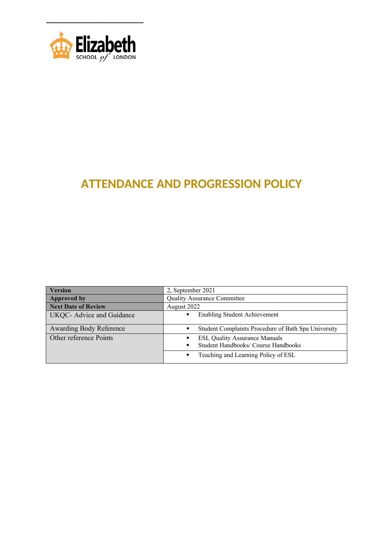

## **ATTENDANCE AND PROGRESSION POLICY**

| 2, September 2021                                   |
|-----------------------------------------------------|
| <b>Quality Assurance Committee</b>                  |
| August 2022                                         |
| <b>Enabling Student Achievement</b>                 |
|                                                     |
| Student Complaints Procedure of Bath Spa University |
| <b>ESL Quality Assurance Manuals</b>                |
| Student Handbooks/ Course Handbooks                 |
| Teaching and Learning Policy of ESL                 |
|                                                     |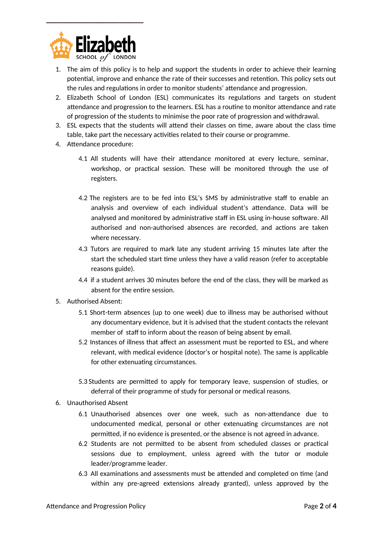

- 1. The aim of this policy is to help and support the students in order to achieve their learning potential, improve and enhance the rate of their successes and retention. This policy sets out the rules and regulations in order to monitor students' attendance and progression.
- 2. Elizabeth School of London (ESL) communicates its regulations and targets on student attendance and progression to the learners. ESL has a routine to monitor attendance and rate of progression of the students to minimise the poor rate of progression and withdrawal.
- 3. ESL expects that the students will attend their classes on time, aware about the class time table, take part the necessary activities related to their course or programme.
- 4. Attendance procedure:
	- 4.1 All students will have their attendance monitored at every lecture, seminar, workshop, or practical session. These will be monitored through the use of registers.
	- 4.2 The registers are to be fed into ESL's SMS by administrative staff to enable an analysis and overview of each individual student's attendance. Data will be analysed and monitored by administrative staff in ESL using in-house software. All authorised and non-authorised absences are recorded, and actions are taken where necessary.
	- 4.3 Tutors are required to mark late any student arriving 15 minutes late after the start the scheduled start time unless they have a valid reason (refer to acceptable reasons guide).
	- 4.4 if a student arrives 30 minutes before the end of the class, they will be marked as absent for the entire session.
- 5. Authorised Absent:
	- 5.1 Short-term absences (up to one week) due to illness may be authorised without any documentary evidence, but it is advised that the student contacts the relevant member of staff to inform about the reason of being absent by email.
	- 5.2 Instances of illness that affect an assessment must be reported to ESL, and where relevant, with medical evidence (doctor's or hospital note). The same is applicable for other extenuating circumstances.
	- 5.3 Students are permitted to apply for temporary leave, suspension of studies, or deferral of their programme of study for personal or medical reasons.
- 6. Unauthorised Absent
	- 6.1 Unauthorised absences over one week, such as non-attendance due to undocumented medical, personal or other extenuating circumstances are not permitted, if no evidence is presented, or the absence is not agreed in advance.
	- 6.2 Students are not permitted to be absent from scheduled classes or practical sessions due to employment, unless agreed with the tutor or module leader/programme leader.
	- 6.3 All examinations and assessments must be attended and completed on time (and within any pre-agreed extensions already granted), unless approved by the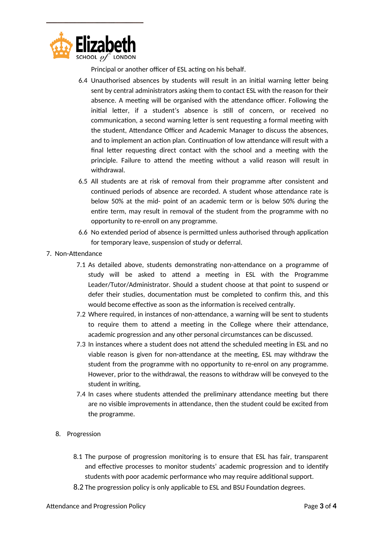

Principal or another officer of ESL acting on his behalf.

- 6.4 Unauthorised absences by students will result in an initial warning letter being sent by central administrators asking them to contact ESL with the reason for their absence. A meeting will be organised with the attendance officer. Following the initial letter, if a student's absence is still of concern, or received no communication, a second warning letter is sent requesting a formal meeting with the student, Attendance Officer and Academic Manager to discuss the absences, and to implement an action plan. Continuation of low attendance will result with a final letter requesting direct contact with the school and a meeting with the principle. Failure to attend the meeting without a valid reason will result in withdrawal.
- 6.5 All students are at risk of removal from their programme after consistent and continued periods of absence are recorded. A student whose attendance rate is below 50% at the mid- point of an academic term or is below 50% during the entire term, may result in removal of the student from the programme with no opportunity to re-enroll on any programme.
- 6.6 No extended period of absence is permitted unless authorised through application for temporary leave, suspension of study or deferral.
- 7. Non-Attendance
	- 7.1 As detailed above, students demonstrating non-attendance on a programme of study will be asked to attend a meeting in ESL with the Programme Leader/Tutor/Administrator. Should a student choose at that point to suspend or defer their studies, documentation must be completed to confirm this, and this would become effective as soon as the information is received centrally.
	- 7.2 Where required, in instances of non-attendance, a warning will be sent to students to require them to attend a meeting in the College where their attendance, academic progression and any other personal circumstances can be discussed.
	- 7.3 In instances where a student does not attend the scheduled meeting in ESL and no viable reason is given for non-attendance at the meeting, ESL may withdraw the student from the programme with no opportunity to re-enrol on any programme. However, prior to the withdrawal, the reasons to withdraw will be conveyed to the student in writing,
	- 7.4 In cases where students attended the preliminary attendance meeting but there are no visible improvements in attendance, then the student could be excited from the programme.
	- 8. Progression
		- 8.1 The purpose of progression monitoring is to ensure that ESL has fair, transparent and effective processes to monitor students' academic progression and to identify students with poor academic performance who may require additional support.
		- 8.2 The progression policy is only applicable to ESL and BSU Foundation degrees.